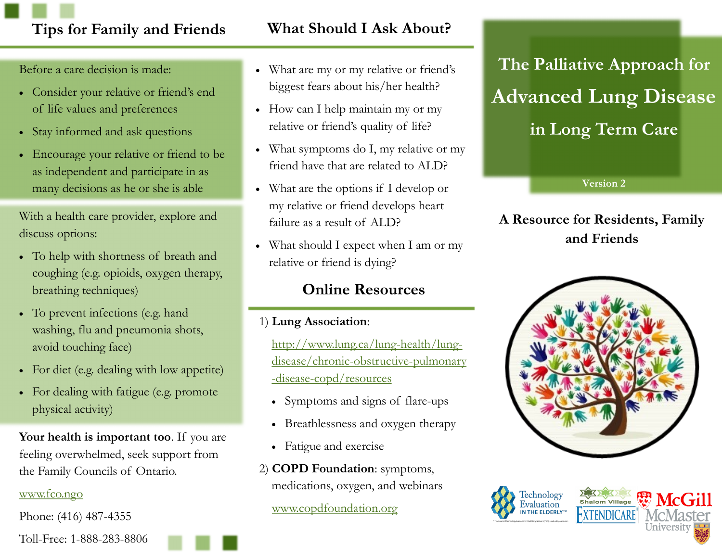### **Tips for Family and Friends What Should I Ask About?**

Before a care decision is made:

- Consider your relative or friend's end of life values and preferences
- Stay informed and ask questions
- Encourage your relative or friend to be as independent and participate in as many decisions as he or she is able

With a health care provider, explore and discuss options:

- To help with shortness of breath and coughing (e.g. opioids, oxygen therapy, breathing techniques)
- To prevent infections (e.g. hand washing, flu and pneumonia shots, avoid touching face)
- For diet (e.g. dealing with low appetite)
- For dealing with fatigue (e.g. promote physical activity)

**Your health is important too**. If you are feeling overwhelmed, seek support from the Family Councils of Ontario.

#### [www.fco.ngo](http://www.fco.ngo)

Phone: (416) 487-4355

- What are my or my relative or friend's biggest fears about his/her health?
- How can I help maintain my or my relative or friend's quality of life?
- What symptoms do I, my relative or my friend have that are related to ALD?
- What are the options if I develop or my relative or friend develops heart failure as a result of ALD?
- What should I expect when I am or my relative or friend is dying?

#### **Online Resources**

1) **Lung Association**:

[http://www.lung.ca/lung-health/lung](http://www.lung.ca/lung-health/lung-disease/chronic-obstructive-pulmonary-disease-copd/resources)[disease/chronic-obstructive-pulmonary](http://www.lung.ca/lung-health/lung-disease/chronic-obstructive-pulmonary-disease-copd/resources) [-disease-copd/resources](http://www.lung.ca/lung-health/lung-disease/chronic-obstructive-pulmonary-disease-copd/resources)

- Symptoms and signs of flare-ups
- Breathlessness and oxygen therapy
- Fatigue and exercise
- 2) **COPD Foundation**: symptoms, medications, oxygen, and webinars

[www.copdfoundation.org](http://www.copdfoundation.org)

**The Palliative Approach for Advanced Lung Disease in Long Term Care**

**Version 2**

#### **A Resource for Residents, Family and Friends**







Toll-Free: 1-888-283-8806